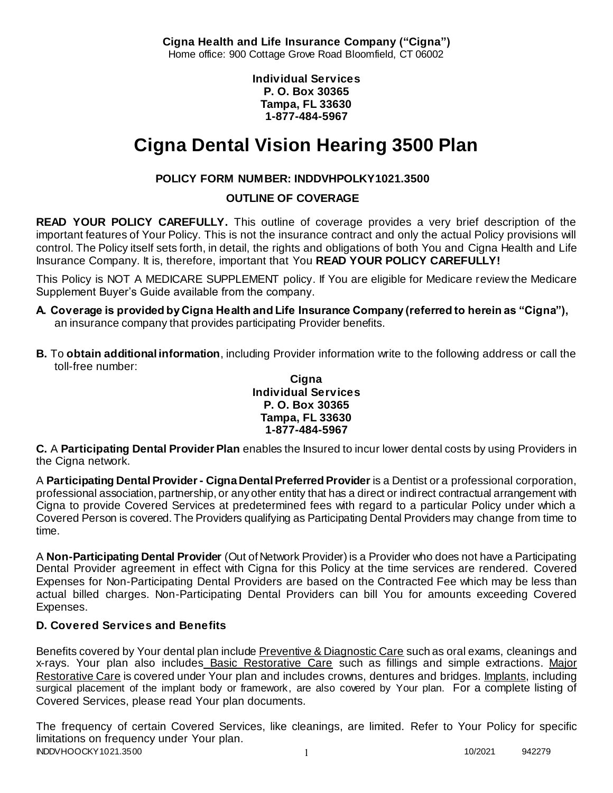**Cigna Health and Life Insurance Company ("Cigna")** Home office: 900 Cottage Grove Road Bloomfield, CT 06002

> **Individual Services P. O. Box 30365 Tampa, FL 33630 1-877-484-5967**

# **Cigna Dental Vision Hearing 3500 Plan**

# **POLICY FORM NUMBER: INDDVHPOLKY1021.3500**

**OUTLINE OF COVERAGE** 

**READ YOUR POLICY CAREFULLY.** This outline of coverage provides a very brief description of the important features of Your Policy. This is not the insurance contract and only the actual Policy provisions will control. The Policy itself sets forth, in detail, the rights and obligations of both You and Cigna Health and Life Insurance Company. It is, therefore, important that You **READ YOUR POLICY CAREFULLY!** 

This Policy is NOT A MEDICARE SUPPLEMENT policy. If You are eligible for Medicare review the Medicare Supplement Buyer's Guide available from the company.

- **A. Coverage is provided by Cigna Health and Life Insurance Company (referred to herein as "Cigna"),**  an insurance company that provides participating Provider benefits.
- **B.** To **obtain additional information**, including Provider information write to the following address or call the toll-free number:

#### **Cigna Individual Services P. O. Box 30365 Tampa, FL 33630 1-877-484-5967**

**C.** A **Participating Dental Provider Plan** enables the Insured to incur lower dental costs by using Providers in the Cigna network.

A **Participating Dental Provider - Cigna Dental Preferred Provider** is a Dentist or a professional corporation, professional association, partnership, or any other entity that has a direct or indirect contractual arrangement with Cigna to provide Covered Services at predetermined fees with regard to a particular Policy under which a Covered Person is covered. The Providers qualifying as Participating Dental Providers may change from time to time.

A **Non-Participating Dental Provider** (Out of Network Provider) is a Provider who does not have a Participating Dental Provider agreement in effect with Cigna for this Policy at the time services are rendered. Covered Expenses for Non-Participating Dental Providers are based on the Contracted Fee which may be less than actual billed charges. Non-Participating Dental Providers can bill You for amounts exceeding Covered Expenses.

# **D. Covered Services and Benefits**

Benefits covered by Your dental plan include Preventive & Diagnostic Care such as oral exams, cleanings and x-rays. Your plan also includes Basic Restorative Care such as fillings and simple extractions. Major Restorative Care is covered under Your plan and includes crowns, dentures and bridges. Implants, including surgical placement of the implant body or framework, are also covered by Your plan. For a complete listing of Covered Services, please read Your plan documents.

INDDVHOOCKY1021.3500 1 2022 1 2022 1 2022 1 2022 1 2022 1 2022 1 2022 1 2022 1 2022 1 2022 1 2022 1 2022 1 202 The frequency of certain Covered Services, like cleanings, are limited. Refer to Your Policy for specific limitations on frequency under Your plan.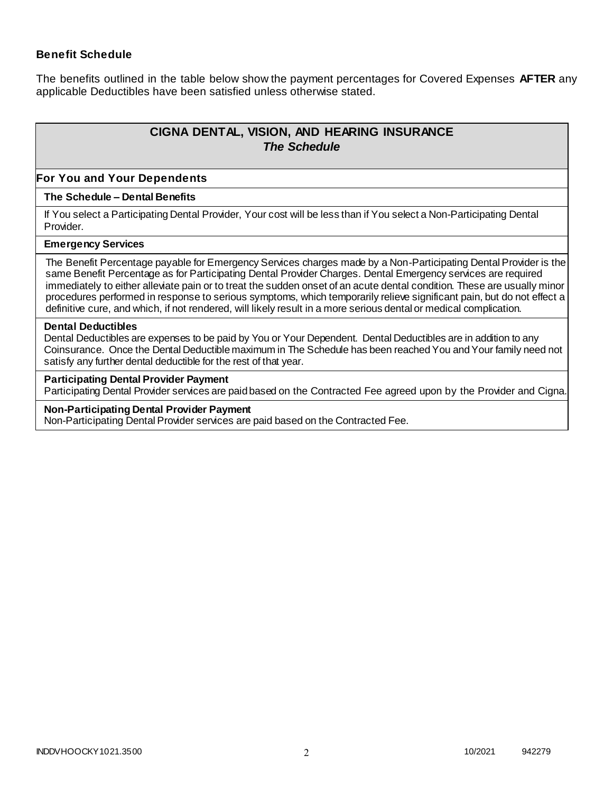### **Benefit Schedule**

The benefits outlined in the table below show the payment percentages for Covered Expenses **AFTER** any applicable Deductibles have been satisfied unless otherwise stated.

# **CIGNA DENTAL, VISION, AND HEARING INSURANCE** *The Schedule*

#### **For You and Your Dependents**

#### **The Schedule – Dental Benefits**

If You select a Participating Dental Provider, Your cost will be less than if You select a Non-Participating Dental Provider.

#### **Emergency Services**

The Benefit Percentage payable for Emergency Services charges made by a Non-Participating Dental Provider is the same Benefit Percentage as for Participating Dental Provider Charges. Dental Emergency services are required immediately to either alleviate pain or to treat the sudden onset of an acute dental condition. These are usually minor procedures performed in response to serious symptoms, which temporarily relieve significant pain, but do not effect a definitive cure, and which, if not rendered, will likely result in a more serious dental or medical complication.

#### **Dental Deductibles**

Dental Deductibles are expenses to be paid by You or Your Dependent. Dental Deductibles are in addition to any Coinsurance. Once the Dental Deductible maximum in The Schedule has been reached You and Your family need not satisfy any further dental deductible for the rest of that year.

#### **Participating Dental Provider Payment**

Participating Dental Provider services are paid based on the Contracted Fee agreed upon by the Provider and Cigna.

#### **Non-Participating Dental Provider Payment**

Non-Participating Dental Provider services are paid based on the Contracted Fee.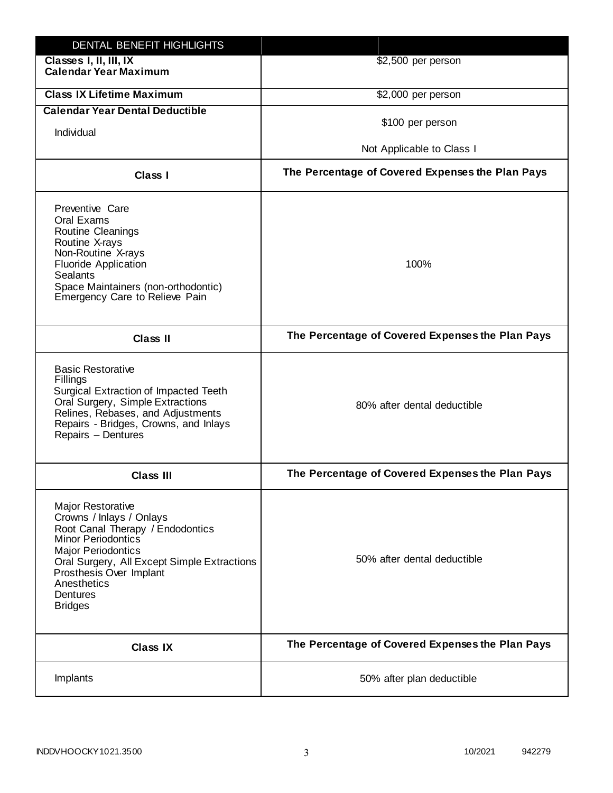| DENTAL BENEFIT HIGHLIGHTS                                                                                                                                                                                                                                                 |                                                  |
|---------------------------------------------------------------------------------------------------------------------------------------------------------------------------------------------------------------------------------------------------------------------------|--------------------------------------------------|
| Classes I, II, III, IX<br><b>Calendar Year Maximum</b>                                                                                                                                                                                                                    | \$2,500 per person                               |
| <b>Class IX Lifetime Maximum</b>                                                                                                                                                                                                                                          | \$2,000 per person                               |
| <b>Calendar Year Dental Deductible</b>                                                                                                                                                                                                                                    |                                                  |
| Individual                                                                                                                                                                                                                                                                | \$100 per person                                 |
|                                                                                                                                                                                                                                                                           | Not Applicable to Class I                        |
| Class I                                                                                                                                                                                                                                                                   | The Percentage of Covered Expenses the Plan Pays |
| Preventive Care<br>Oral Exams<br><b>Routine Cleanings</b><br>Routine X-rays<br>Non-Routine X-rays<br><b>Fluoride Application</b><br><b>Sealants</b><br>Space Maintainers (non-orthodontic)<br>Emergency Care to Relieve Pain                                              | 100%                                             |
| <b>Class II</b>                                                                                                                                                                                                                                                           | The Percentage of Covered Expenses the Plan Pays |
| <b>Basic Restorative</b><br>Fillings<br>Surgical Extraction of Impacted Teeth<br>Oral Surgery, Simple Extractions<br>Relines, Rebases, and Adjustments<br>Repairs - Bridges, Crowns, and Inlays<br>Repairs - Dentures                                                     | 80% after dental deductible                      |
| <b>Class III</b>                                                                                                                                                                                                                                                          | The Percentage of Covered Expenses the Plan Pays |
| <b>Major Restorative</b><br>Crowns / Inlays / Onlays<br>Root Canal Therapy / Endodontics<br><b>Minor Periodontics</b><br><b>Major Periodontics</b><br>Oral Surgery, All Except Simple Extractions<br>Prosthesis Over Implant<br>Anesthetics<br>Dentures<br><b>Bridges</b> | 50% after dental deductible                      |
| <b>Class IX</b>                                                                                                                                                                                                                                                           | The Percentage of Covered Expenses the Plan Pays |
| Implants                                                                                                                                                                                                                                                                  | 50% after plan deductible                        |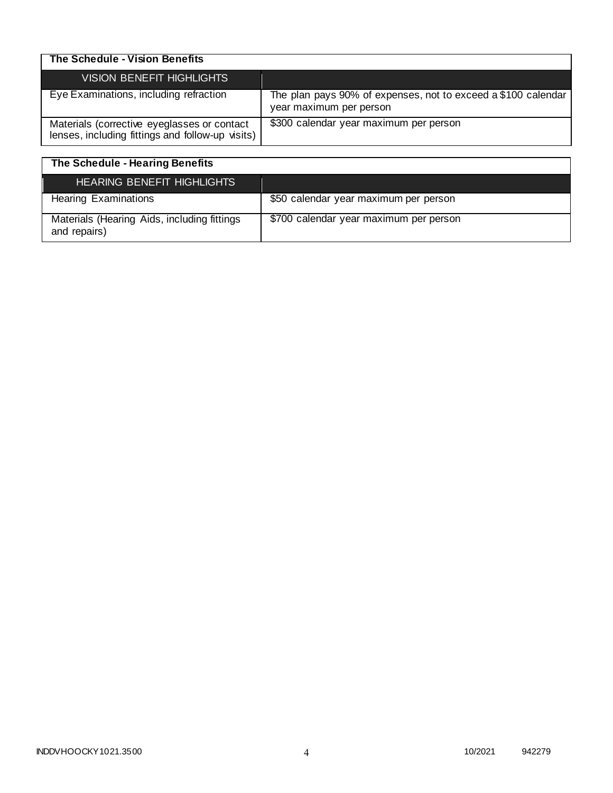| The Schedule - Vision Benefits                                                                  |                                                                                          |
|-------------------------------------------------------------------------------------------------|------------------------------------------------------------------------------------------|
| <b>VISION BENEFIT HIGHLIGHTS</b>                                                                |                                                                                          |
| Eye Examinations, including refraction                                                          | The plan pays 90% of expenses, not to exceed a \$100 calendar<br>year maximum per person |
| Materials (corrective eyeglasses or contact<br>lenses, including fittings and follow-up visits) | \$300 calendar year maximum per person                                                   |

| The Schedule - Hearing Benefits                             |                                        |
|-------------------------------------------------------------|----------------------------------------|
| <b>HEARING BENEFIT HIGHLIGHTS</b>                           |                                        |
| <b>Hearing Examinations</b>                                 | \$50 calendar year maximum per person  |
| Materials (Hearing Aids, including fittings<br>and repairs) | \$700 calendar year maximum per person |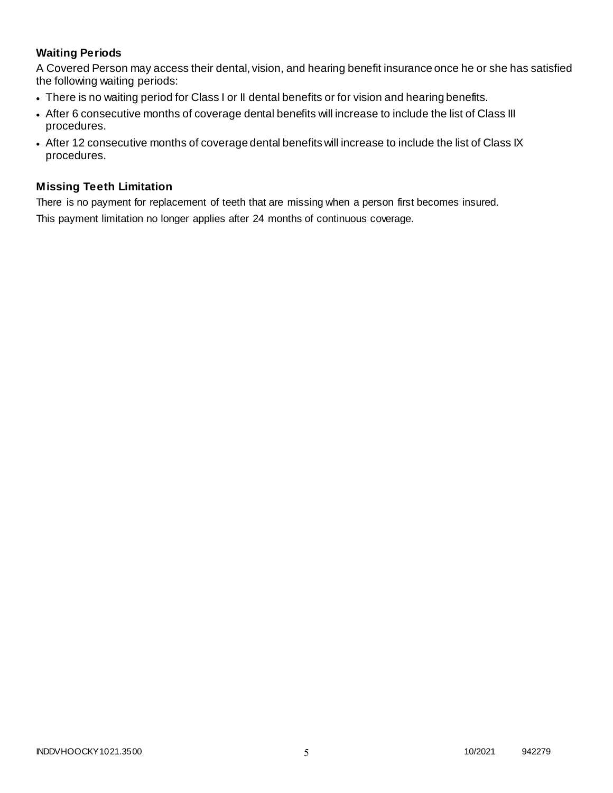# **Waiting Periods**

A Covered Person may access their dental, vision, and hearing benefit insurance once he or she has satisfied the following waiting periods:

- There is no waiting period for Class I or II dental benefits or for vision and hearing benefits.
- After 6 consecutive months of coverage dental benefits will increase to include the list of Class III procedures.
- After 12 consecutive months of coverage dental benefits will increase to include the list of Class IX procedures.

### **Missing Teeth Limitation**

There is no payment for replacement of teeth that are missing when a person first becomes insured. This payment limitation no longer applies after 24 months of continuous coverage.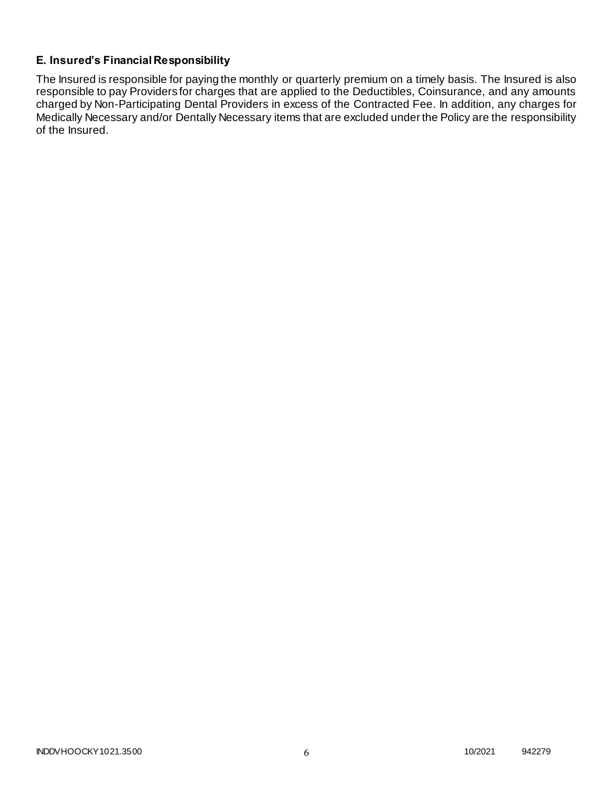# **E. Insured's Financial Responsibility**

The Insured is responsible for paying the monthly or quarterly premium on a timely basis. The Insured is also responsible to pay Providers for charges that are applied to the Deductibles, Coinsurance, and any amounts charged by Non-Participating Dental Providers in excess of the Contracted Fee. In addition, any charges for Medically Necessary and/or Dentally Necessary items that are excluded under the Policy are the responsibility of the Insured.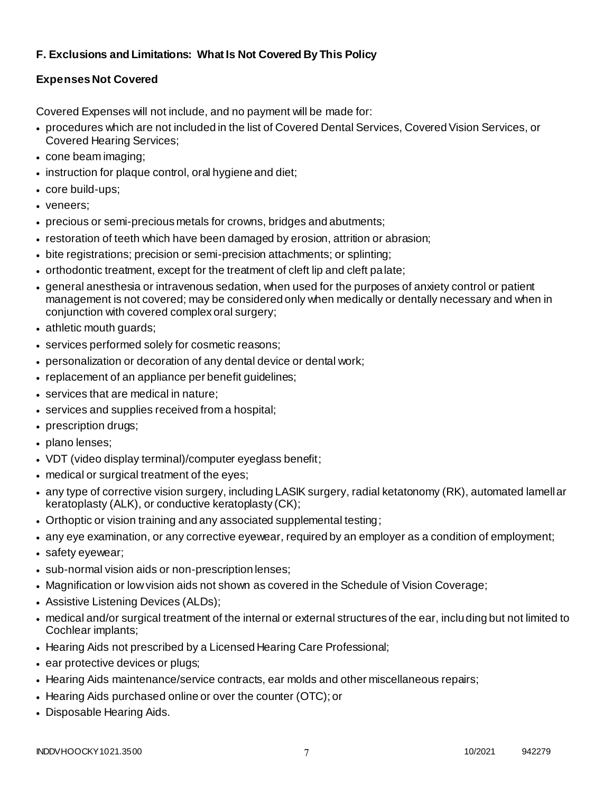# **F. Exclusions and Limitations: What Is Not Covered By This Policy**

# **Expenses Not Covered**

Covered Expenses will not include, and no payment will be made for:

- procedures which are not included in the list of Covered Dental Services, Covered Vision Services, or Covered Hearing Services;
- cone beam imaging;
- instruction for plaque control, oral hygiene and diet;
- core build-ups;
- veneers;
- precious or semi-precious metals for crowns, bridges and abutments;
- restoration of teeth which have been damaged by erosion, attrition or abrasion;
- bite registrations; precision or semi-precision attachments; or splinting;
- orthodontic treatment, except for the treatment of cleft lip and cleft palate;
- general anesthesia or intravenous sedation, when used for the purposes of anxiety control or patient management is not covered; may be considered only when medically or dentally necessary and when in conjunction with covered complex oral surgery;
- athletic mouth guards;
- services performed solely for cosmetic reasons;
- personalization or decoration of any dental device or dental work;
- replacement of an appliance per benefit guidelines;
- services that are medical in nature;
- services and supplies received from a hospital;
- prescription drugs;
- plano lenses;
- VDT (video display terminal)/computer eyeglass benefit;
- medical or surgical treatment of the eyes;
- any type of corrective vision surgery, including LASIK surgery, radial ketatonomy (RK), automated lamellar keratoplasty (ALK), or conductive keratoplasty (CK);
- Orthoptic or vision training and any associated supplemental testing;
- any eye examination, or any corrective eyewear, required by an employer as a condition of employment;
- safety eyewear;
- sub-normal vision aids or non-prescription lenses;
- Magnification or low vision aids not shown as covered in the Schedule of Vision Coverage;
- Assistive Listening Devices (ALDs);
- medical and/or surgical treatment of the internal or external structures of the ear, including but not limited to Cochlear implants;
- Hearing Aids not prescribed by a Licensed Hearing Care Professional;
- ear protective devices or plugs;
- Hearing Aids maintenance/service contracts, ear molds and other miscellaneous repairs;
- Hearing Aids purchased online or over the counter (OTC); or
- Disposable Hearing Aids.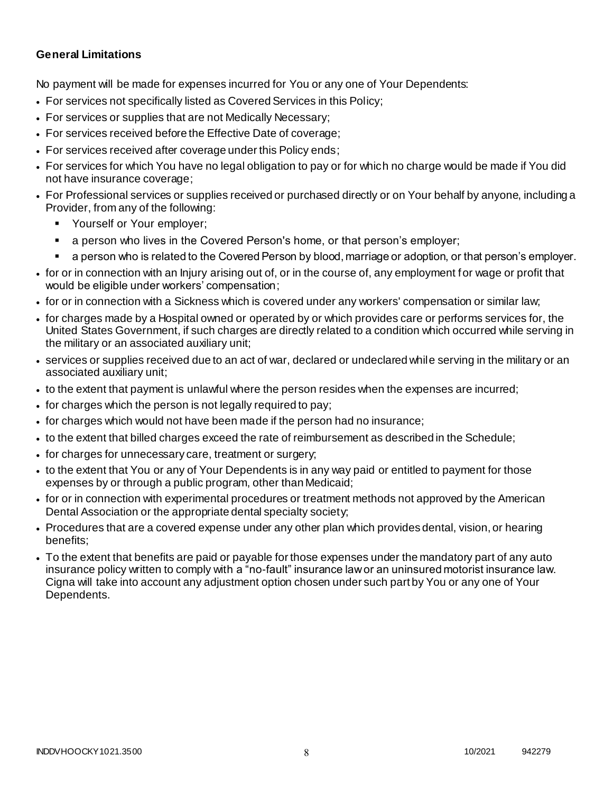### **General Limitations**

No payment will be made for expenses incurred for You or any one of Your Dependents:

- For services not specifically listed as Covered Services in this Policy;
- For services or supplies that are not Medically Necessary;
- For services received before the Effective Date of coverage;
- For services received after coverage under this Policy ends;
- For services for which You have no legal obligation to pay or for which no charge would be made if You did not have insurance coverage;
- For Professional services or supplies received or purchased directly or on Your behalf by anyone, including a Provider, from any of the following:
	- Yourself or Your employer;
	- a person who lives in the Covered Person's home, or that person's employer;
	- a person who is related to the Covered Person by blood, marriage or adoption, or that person's employer.
- for or in connection with an Injury arising out of, or in the course of, any employment for wage or profit that would be eligible under workers' compensation;
- for or in connection with a Sickness which is covered under any workers' compensation or similar law;
- for charges made by a Hospital owned or operated by or which provides care or performs services for, the United States Government, if such charges are directly related to a condition which occurred while serving in the military or an associated auxiliary unit;
- services or supplies received due to an act of war, declared or undeclared while serving in the military or an associated auxiliary unit;
- to the extent that payment is unlawful where the person resides when the expenses are incurred;
- for charges which the person is not legally required to pay;
- for charges which would not have been made if the person had no insurance;
- to the extent that billed charges exceed the rate of reimbursement as described in the Schedule;
- for charges for unnecessary care, treatment or surgery;
- to the extent that You or any of Your Dependents is in any way paid or entitled to payment for those expenses by or through a public program, other than Medicaid;
- for or in connection with experimental procedures or treatment methods not approved by the American Dental Association or the appropriate dental specialty society;
- Procedures that are a covered expense under any other plan which provides dental, vision, or hearing benefits;
- To the extent that benefits are paid or payable for those expenses under the mandatory part of any auto insurance policy written to comply with a "no-fault" insurance law or an uninsured motorist insurance law. Cigna will take into account any adjustment option chosen under such part by You or any one of Your Dependents.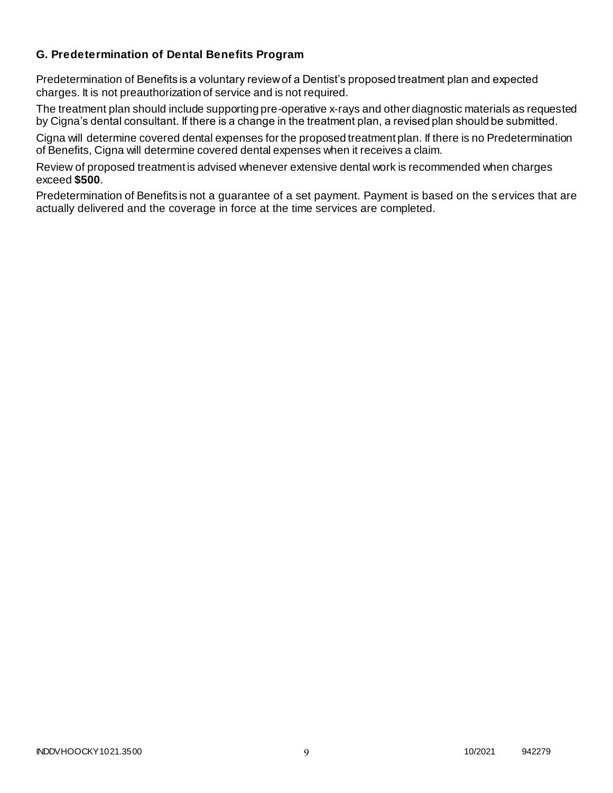## **G. Predetermination of Dental Benefits Program**

Predetermination of Benefits is a voluntary review of a Dentist's proposed treatment plan and expected charges. It is not preauthorization of service and is not required.

The treatment plan should include supporting pre-operative x-rays and other diagnostic materials as requested by Cigna's dental consultant. If there is a change in the treatment plan, a revised plan should be submitted.

Cigna will determine covered dental expenses for the proposed treatment plan. If there is no Predetermination of Benefits, Cigna will determine covered dental expenses when it receives a claim.

Review of proposed treatment is advised whenever extensive dental work is recommended when charges exceed **\$500**.

Predetermination of Benefits is not a guarantee of a set payment. Payment is based on the services that are actually delivered and the coverage in force at the time services are completed.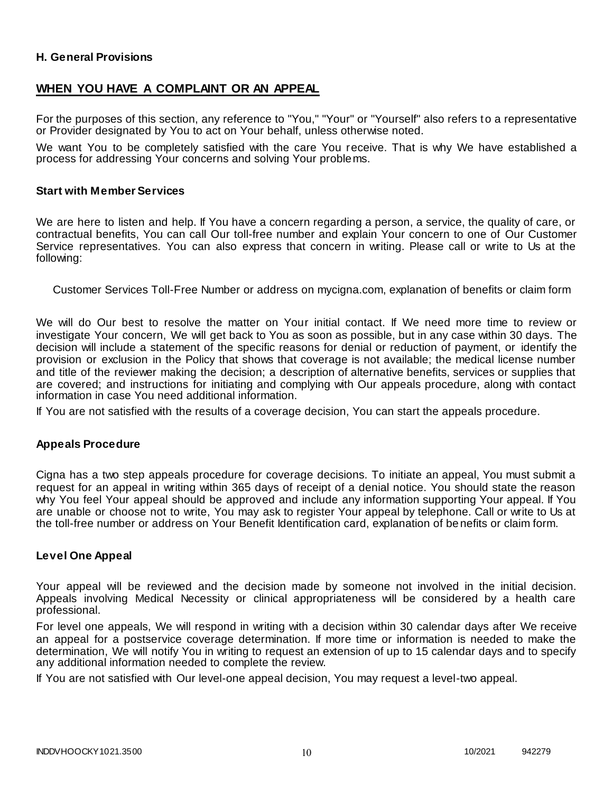### **H. General Provisions**

# **WHEN YOU HAVE A COMPLAINT OR AN APPEAL**

For the purposes of this section, any reference to "You," "Your" or "Yourself" also refers to a representative or Provider designated by You to act on Your behalf, unless otherwise noted.

We want You to be completely satisfied with the care You receive. That is why We have established a process for addressing Your concerns and solving Your problems.

#### **Start with Member Services**

We are here to listen and help. If You have a concern regarding a person, a service, the quality of care, or contractual benefits, You can call Our toll-free number and explain Your concern to one of Our Customer Service representatives. You can also express that concern in writing. Please call or write to Us at the following:

Customer Services Toll-Free Number or address on mycigna.com, explanation of benefits or claim form

We will do Our best to resolve the matter on Your initial contact. If We need more time to review or investigate Your concern, We will get back to You as soon as possible, but in any case within 30 days. The decision will include a statement of the specific reasons for denial or reduction of payment, or identify the provision or exclusion in the Policy that shows that coverage is not available; the medical license number and title of the reviewer making the decision; a description of alternative benefits, services or supplies that are covered; and instructions for initiating and complying with Our appeals procedure, along with contact information in case You need additional information.

If You are not satisfied with the results of a coverage decision, You can start the appeals procedure.

#### **Appeals Procedure**

Cigna has a two step appeals procedure for coverage decisions. To initiate an appeal, You must submit a request for an appeal in writing within 365 days of receipt of a denial notice. You should state the reason why You feel Your appeal should be approved and include any information supporting Your appeal. If You are unable or choose not to write, You may ask to register Your appeal by telephone. Call or write to Us at the toll-free number or address on Your Benefit Identification card, explanation of benefits or claim form.

#### **Level One Appeal**

Your appeal will be reviewed and the decision made by someone not involved in the initial decision. Appeals involving Medical Necessity or clinical appropriateness will be considered by a health care professional.

For level one appeals, We will respond in writing with a decision within 30 calendar days after We receive an appeal for a postservice coverage determination. If more time or information is needed to make the determination, We will notify You in writing to request an extension of up to 15 calendar days and to specify any additional information needed to complete the review.

If You are not satisfied with Our level-one appeal decision, You may request a level-two appeal.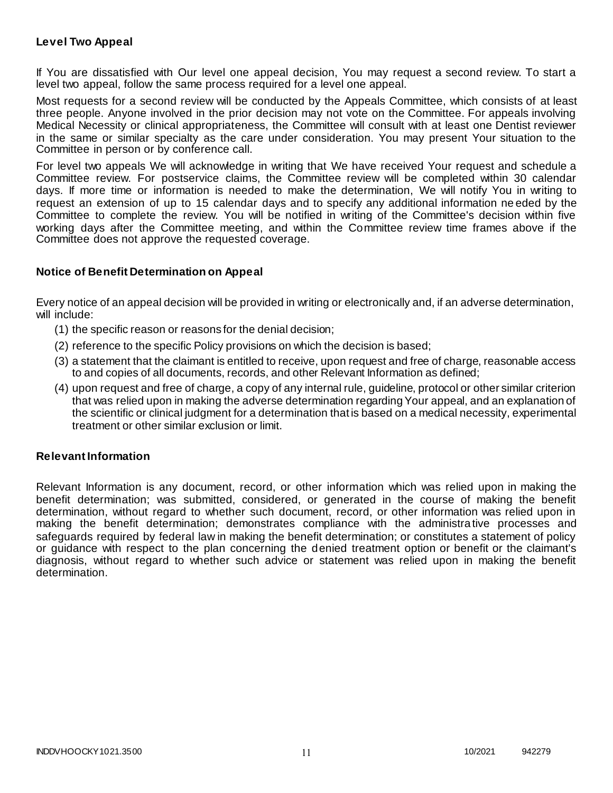### **Level Two Appeal**

If You are dissatisfied with Our level one appeal decision, You may request a second review. To start a level two appeal, follow the same process required for a level one appeal.

Most requests for a second review will be conducted by the Appeals Committee, which consists of at least three people. Anyone involved in the prior decision may not vote on the Committee. For appeals involving Medical Necessity or clinical appropriateness, the Committee will consult with at least one Dentist reviewer in the same or similar specialty as the care under consideration. You may present Your situation to the Committee in person or by conference call.

For level two appeals We will acknowledge in writing that We have received Your request and schedule a Committee review. For postservice claims, the Committee review will be completed within 30 calendar days. If more time or information is needed to make the determination, We will notify You in writing to request an extension of up to 15 calendar days and to specify any additional information ne eded by the Committee to complete the review. You will be notified in writing of the Committee's decision within five working days after the Committee meeting, and within the Committee review time frames above if the Committee does not approve the requested coverage.

### **Notice of Benefit Determination on Appeal**

Every notice of an appeal decision will be provided in writing or electronically and, if an adverse determination, will include:

- (1) the specific reason or reasons for the denial decision;
- (2) reference to the specific Policy provisions on which the decision is based;
- (3) a statement that the claimant is entitled to receive, upon request and free of charge, reasonable access to and copies of all documents, records, and other Relevant Information as defined;
- (4) upon request and free of charge, a copy of any internal rule, guideline, protocol or other similar criterion that was relied upon in making the adverse determination regarding Your appeal, and an explanation of the scientific or clinical judgment for a determination that is based on a medical necessity, experimental treatment or other similar exclusion or limit.

### **Relevant Information**

Relevant Information is any document, record, or other information which was relied upon in making the benefit determination; was submitted, considered, or generated in the course of making the benefit determination, without regard to whether such document, record, or other information was relied upon in making the benefit determination; demonstrates compliance with the administrative processes and safeguards required by federal law in making the benefit determination; or constitutes a statement of policy or guidance with respect to the plan concerning the denied treatment option or benefit or the claimant's diagnosis, without regard to whether such advice or statement was relied upon in making the benefit determination.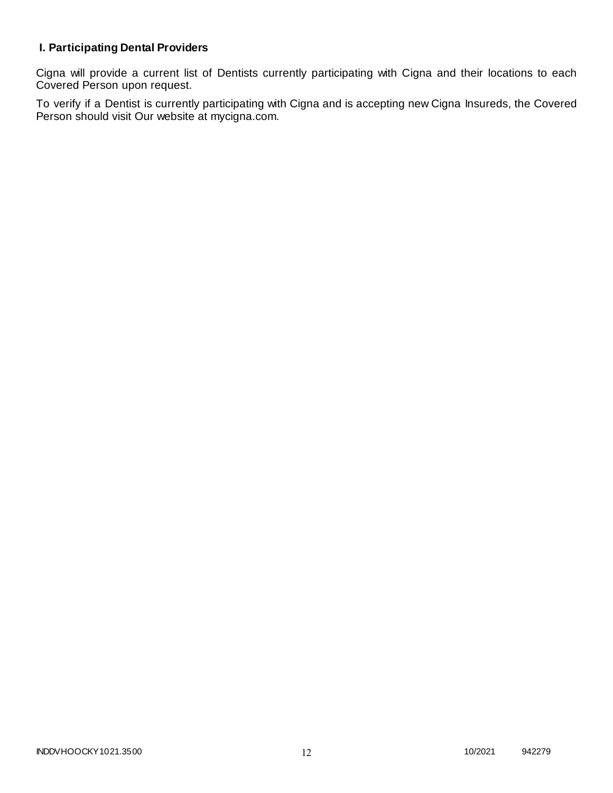# **I. Participating Dental Providers**

Cigna will provide a current list of Dentists currently participating with Cigna and their locations to each Covered Person upon request.

To verify if a Dentist is currently participating with Cigna and is accepting new Cigna Insureds, the Covered Person should visit Our website at mycigna.com.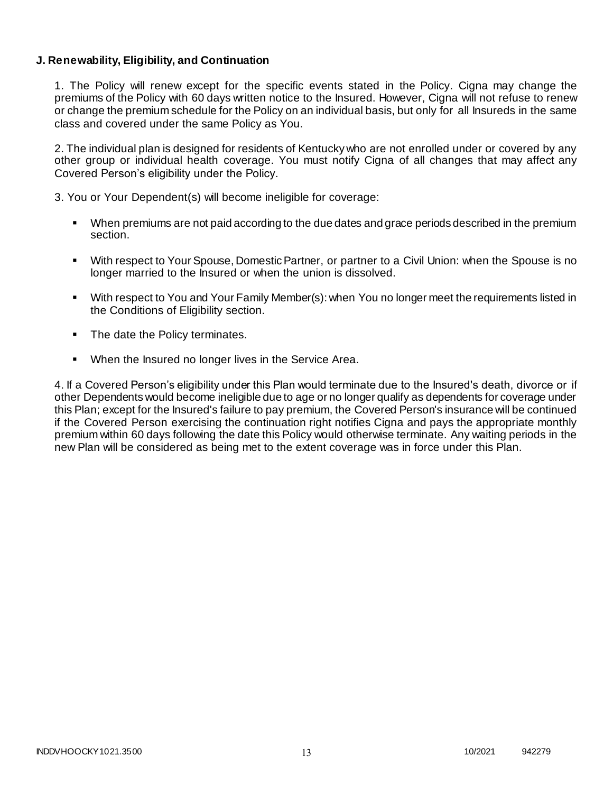### **J. Renewability, Eligibility, and Continuation**

1. The Policy will renew except for the specific events stated in the Policy. Cigna may change the premiums of the Policy with 60 days written notice to the Insured. However, Cigna will not refuse to renew or change the premium schedule for the Policy on an individual basis, but only for all Insureds in the same class and covered under the same Policy as You.

2. The individual plan is designed for residents of Kentucky who are not enrolled under or covered by any other group or individual health coverage. You must notify Cigna of all changes that may affect any Covered Person's eligibility under the Policy.

3. You or Your Dependent(s) will become ineligible for coverage:

- When premiums are not paid according to the due dates and grace periods described in the premium section.
- With respect to Your Spouse, Domestic Partner, or partner to a Civil Union: when the Spouse is no longer married to the Insured or when the union is dissolved.
- With respect to You and Your Family Member(s): when You no longer meet the requirements listed in the Conditions of Eligibility section.
- The date the Policy terminates.
- When the Insured no longer lives in the Service Area.

4. If a Covered Person's eligibility under this Plan would terminate due to the Insured's death, divorce or if other Dependents would become ineligible due to age or no longer qualify as dependents for coverage under this Plan; except for the Insured's failure to pay premium, the Covered Person's insurance will be continued if the Covered Person exercising the continuation right notifies Cigna and pays the appropriate monthly premium within 60 days following the date this Policy would otherwise terminate. Any waiting periods in the new Plan will be considered as being met to the extent coverage was in force under this Plan.